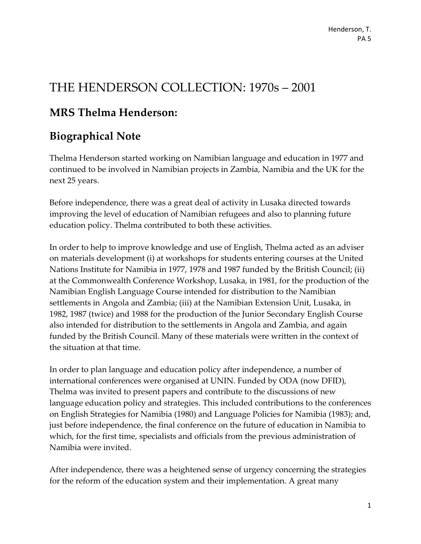# THE HENDERSON COLLECTION: 1970s – 2001

# **MRS Thelma Henderson:**

# **Biographical Note**

Thelma Henderson started working on Namibian language and education in 1977 and continued to be involved in Namibian projects in Zambia, Namibia and the UK for the next 25 years.

Before independence, there was a great deal of activity in Lusaka directed towards improving the level of education of Namibian refugees and also to planning future education policy. Thelma contributed to both these activities.

In order to help to improve knowledge and use of English, Thelma acted as an adviser on materials development (i) at workshops for students entering courses at the United Nations Institute for Namibia in 1977, 1978 and 1987 funded by the British Council; (ii) at the Commonwealth Conference Workshop, Lusaka, in 1981, for the production of the Namibian English Language Course intended for distribution to the Namibian settlements in Angola and Zambia; (iii) at the Namibian Extension Unit, Lusaka, in 1982, 1987 (twice) and 1988 for the production of the Junior Secondary English Course also intended for distribution to the settlements in Angola and Zambia, and again funded by the British Council. Many of these materials were written in the context of the situation at that time.

In order to plan language and education policy after independence, a number of international conferences were organised at UNIN. Funded by ODA (now DFID), Thelma was invited to present papers and contribute to the discussions of new language education policy and strategies. This included contributions to the conferences on English Strategies for Namibia (1980) and Language Policies for Namibia (1983); and, just before independence, the final conference on the future of education in Namibia to which, for the first time, specialists and officials from the previous administration of Namibia were invited.

After independence, there was a heightened sense of urgency concerning the strategies for the reform of the education system and their implementation. A great many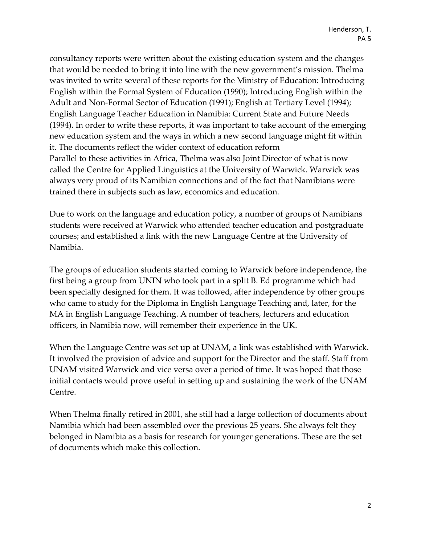consultancy reports were written about the existing education system and the changes that would be needed to bring it into line with the new government's mission. Thelma was invited to write several of these reports for the Ministry of Education: Introducing English within the Formal System of Education (1990); Introducing English within the Adult and Non-Formal Sector of Education (1991); English at Tertiary Level (1994); English Language Teacher Education in Namibia: Current State and Future Needs (1994). In order to write these reports, it was important to take account of the emerging new education system and the ways in which a new second language might fit within it. The documents reflect the wider context of education reform Parallel to these activities in Africa, Thelma was also Joint Director of what is now called the Centre for Applied Linguistics at the University of Warwick. Warwick was always very proud of its Namibian connections and of the fact that Namibians were trained there in subjects such as law, economics and education.

Due to work on the language and education policy, a number of groups of Namibians students were received at Warwick who attended teacher education and postgraduate courses; and established a link with the new Language Centre at the University of Namibia.

The groups of education students started coming to Warwick before independence, the first being a group from UNIN who took part in a split B. Ed programme which had been specially designed for them. It was followed, after independence by other groups who came to study for the Diploma in English Language Teaching and, later, for the MA in English Language Teaching. A number of teachers, lecturers and education officers, in Namibia now, will remember their experience in the UK.

When the Language Centre was set up at UNAM, a link was established with Warwick. It involved the provision of advice and support for the Director and the staff. Staff from UNAM visited Warwick and vice versa over a period of time. It was hoped that those initial contacts would prove useful in setting up and sustaining the work of the UNAM Centre.

When Thelma finally retired in 2001, she still had a large collection of documents about Namibia which had been assembled over the previous 25 years. She always felt they belonged in Namibia as a basis for research for younger generations. These are the set of documents which make this collection.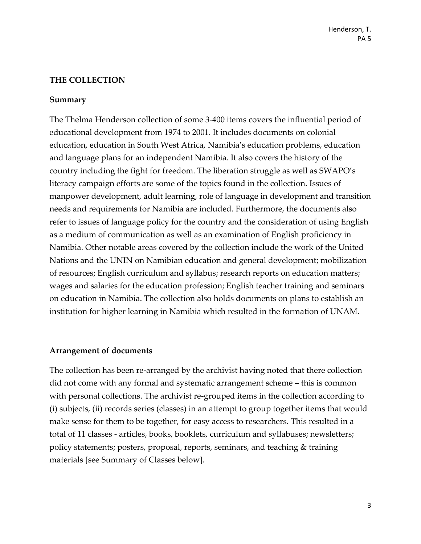#### **THE COLLECTION**

#### **Summary**

The Thelma Henderson collection of some 3-400 items covers the influential period of educational development from 1974 to 2001. It includes documents on colonial education, education in South West Africa, Namibia's education problems, education and language plans for an independent Namibia. It also covers the history of the country including the fight for freedom. The liberation struggle as well as SWAPO's literacy campaign efforts are some of the topics found in the collection. Issues of manpower development, adult learning, role of language in development and transition needs and requirements for Namibia are included. Furthermore, the documents also refer to issues of language policy for the country and the consideration of using English as a medium of communication as well as an examination of English proficiency in Namibia. Other notable areas covered by the collection include the work of the United Nations and the UNIN on Namibian education and general development; mobilization of resources; English curriculum and syllabus; research reports on education matters; wages and salaries for the education profession; English teacher training and seminars on education in Namibia. The collection also holds documents on plans to establish an institution for higher learning in Namibia which resulted in the formation of UNAM.

#### **Arrangement of documents**

The collection has been re-arranged by the archivist having noted that there collection did not come with any formal and systematic arrangement scheme – this is common with personal collections. The archivist re-grouped items in the collection according to (i) subjects, (ii) records series (classes) in an attempt to group together items that would make sense for them to be together, for easy access to researchers. This resulted in a total of 11 classes - articles, books, booklets, curriculum and syllabuses; newsletters; policy statements; posters, proposal, reports, seminars, and teaching & training materials [see Summary of Classes below].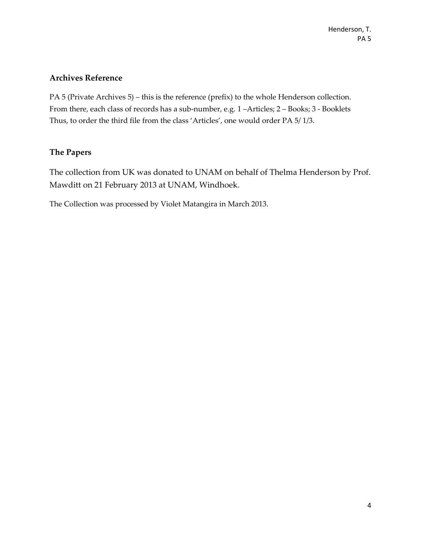#### **Archives Reference**

PA 5 (Private Archives 5) – this is the reference (prefix) to the whole Henderson collection. From there, each class of records has a sub-number, e.g. 1 –Articles; 2 – Books; 3 - Booklets Thus, to order the third file from the class 'Articles', one would order PA 5/ 1/3.

#### **The Papers**

The collection from UK was donated to UNAM on behalf of Thelma Henderson by Prof. Mawditt on 21 February 2013 at UNAM, Windhoek.

The Collection was processed by Violet Matangira in March 2013.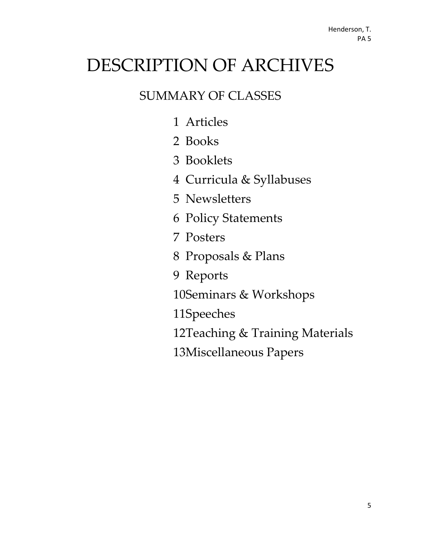# DESCRIPTION OF ARCHIVES

# SUMMARY OF CLASSES

- 1 Articles
- 2 Books
- 3 Booklets
- 4 Curricula & Syllabuses
- 5 Newsletters
- 6 Policy Statements
- 7 Posters
- 8 Proposals & Plans
- 9 Reports
- 10Seminars & Workshops
- 11Speeches
- 12Teaching & Training Materials
- 13Miscellaneous Papers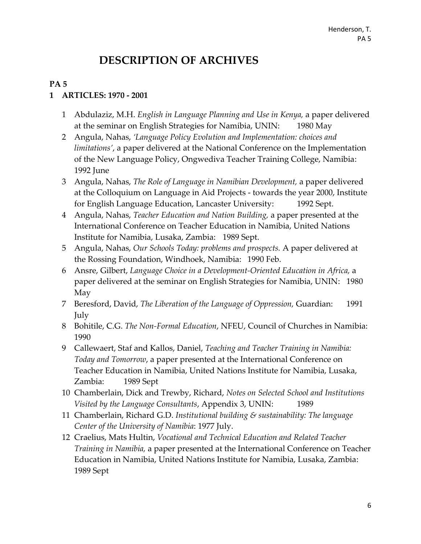# **DESCRIPTION OF ARCHIVES**

#### **PA 5**

#### **1 ARTICLES: 1970 - 2001**

- 1 Abdulaziz, M.H. *English in Language Planning and Use in Kenya,* a paper delivered at the seminar on English Strategies for Namibia, UNIN: 1980 May
- 2 Angula, Nahas, *'Language Policy Evolution and Implementation: choices and limitations'*, a paper delivered at the National Conference on the Implementation of the New Language Policy, Ongwediva Teacher Training College, Namibia: 1992 June
- 3 Angula, Nahas, *The Role of Language in Namibian Development,* a paper delivered at the Colloquium on Language in Aid Projects - towards the year 2000, Institute for English Language Education, Lancaster University: 1992 Sept.
- 4 Angula, Nahas, *Teacher Education and Nation Building,* a paper presented at the International Conference on Teacher Education in Namibia, United Nations Institute for Namibia, Lusaka, Zambia: 1989 Sept.
- 5 Angula, Nahas, *Our Schools Today: problems and prospects.* A paper delivered at the Rossing Foundation, Windhoek, Namibia: 1990 Feb.
- 6 Ansre, Gilbert, *Language Choice in a Development-Oriented Education in Africa,* a paper delivered at the seminar on English Strategies for Namibia, UNIN: 1980 May
- 7 Beresford, David, *The Liberation of the Language of Oppression,* Guardian: 1991 July
- 8 Bohitile, C.G. *The Non-Formal Education*, NFEU, Council of Churches in Namibia: 1990
- 9 Callewaert, Staf and Kallos, Daniel, *Teaching and Teacher Training in Namibia: Today and Tomorrow*, a paper presented at the International Conference on Teacher Education in Namibia, United Nations Institute for Namibia, Lusaka, Zambia: 1989 Sept
- 10 Chamberlain, Dick and Trewby, Richard, *Notes on Selected School and Institutions Visited by the Language Consultants*, Appendix 3, UNIN: 1989
- 11 Chamberlain, Richard G.D. *Institutional building & sustainability: The language Center of the University of Namibia*: 1977 July.
- 12 Craelius, Mats Hultin, *Vocational and Technical Education and Related Teacher Training in Namibia,* a paper presented at the International Conference on Teacher Education in Namibia, United Nations Institute for Namibia, Lusaka, Zambia: 1989 Sept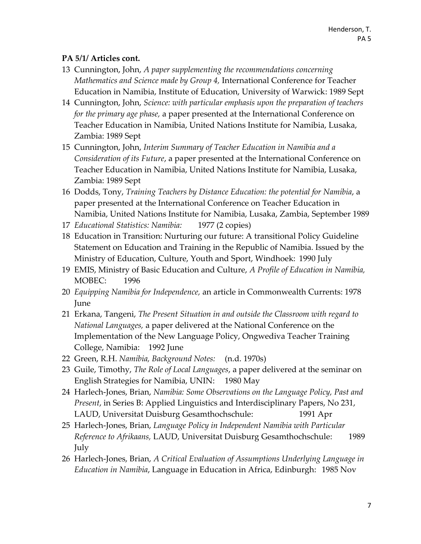- 13 Cunnington, John, *A paper supplementing the recommendations concerning Mathematics and Science made by Group 4,* International Conference for Teacher Education in Namibia, Institute of Education, University of Warwick: 1989 Sept
- 14 Cunnington, John, *Science: with particular emphasis upon the preparation of teachers for the primary age phase,* a paper presented at the International Conference on Teacher Education in Namibia, United Nations Institute for Namibia, Lusaka, Zambia: 1989 Sept
- 15 Cunnington, John, *Interim Summary of Teacher Education in Namibia and a Consideration of its Future*, a paper presented at the International Conference on Teacher Education in Namibia, United Nations Institute for Namibia, Lusaka, Zambia: 1989 Sept
- 16 Dodds, Tony, *Training Teachers by Distance Education: the potential for Namibia*, a paper presented at the International Conference on Teacher Education in Namibia, United Nations Institute for Namibia, Lusaka, Zambia, September 1989
- 17 *Educational Statistics: Namibia:* 1977 (2 copies)
- 18 Education in Transition: Nurturing our future: A transitional Policy Guideline Statement on Education and Training in the Republic of Namibia. Issued by the Ministry of Education, Culture, Youth and Sport, Windhoek: 1990 July
- 19 EMIS, Ministry of Basic Education and Culture, *A Profile of Education in Namibia,*  MOBEC: 1996
- 20 *Equipping Namibia for Independence,* an article in Commonwealth Currents: 1978 June
- 21 Erkana, Tangeni, *The Present Situation in and outside the Classroom with regard to National Languages,* a paper delivered at the National Conference on the Implementation of the New Language Policy, Ongwediva Teacher Training College, Namibia: 1992 June
- 22 Green, R.H. *Namibia, Background Notes:* (n.d. 1970s)
- 23 Guile, Timothy, *The Role of Local Languages*, a paper delivered at the seminar on English Strategies for Namibia, UNIN: 1980 May
- 24 Harlech-Jones, Brian, *Namibia: Some Observations on the Language Policy, Past and Present*, in Series B: Applied Linguistics and Interdisciplinary Papers, No 231, LAUD, Universitat Duisburg Gesamthochschule: 1991 Apr
- 25 Harlech-Jones, Brian, *Language Policy in Independent Namibia with Particular Reference to Afrikaans,* LAUD, Universitat Duisburg Gesamthochschule: 1989 July
- 26 Harlech-Jones, Brian, *A Critical Evaluation of Assumptions Underlying Language in Education in Namibia*, Language in Education in Africa, Edinburgh: 1985 Nov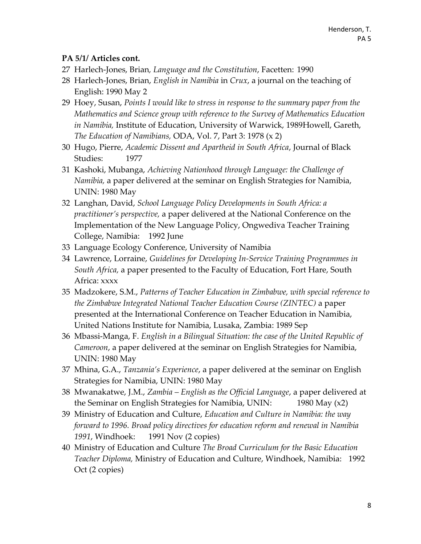- 27 Harlech-Jones, Brian*, Language and the Constitution*, Facetten: 1990
- 28 Harlech-Jones, Brian, *English in Namibia* in *Crux*, a journal on the teaching of English: 1990 May 2
- 29 Hoey, Susan, *Points I would like to stress in response to the summary paper from the Mathematics and Science group with reference to the Survey of Mathematics Education in Namibia,* Institute of Education, University of Warwick, 1989Howell, Gareth, *The Education of Namibians,* ODA, Vol. 7, Part 3: 1978 (x 2)
- 30 Hugo, Pierre, *Academic Dissent and Apartheid in South Africa*, Journal of Black Studies: 1977
- 31 Kashoki, Mubanga, *Achieving Nationhood through Language: the Challenge of Namibia,* a paper delivered at the seminar on English Strategies for Namibia, UNIN: 1980 May
- 32 Langhan, David, *School Language Policy Developments in South Africa: a practitioner's perspective,* a paper delivered at the National Conference on the Implementation of the New Language Policy, Ongwediva Teacher Training College, Namibia: 1992 June
- 33 Language Ecology Conference, University of Namibia
- 34 Lawrence, Lorraine, *Guidelines for Developing In-Service Training Programmes in South Africa,* a paper presented to the Faculty of Education, Fort Hare, South Africa: xxxx
- 35 Madzokere, S.M., *Patterns of Teacher Education in Zimbabwe, with special reference to the Zimbabwe Integrated National Teacher Education Course (ZINTEC)* a paper presented at the International Conference on Teacher Education in Namibia, United Nations Institute for Namibia, Lusaka, Zambia: 1989 Sep
- 36 Mbassi-Manga, F. *English in a Bilingual Situation: the case of the United Republic of Cameroon*, a paper delivered at the seminar on English Strategies for Namibia, UNIN: 1980 May
- 37 Mhina, G.A., *Tanzania's Experience*, a paper delivered at the seminar on English Strategies for Namibia, UNIN: 1980 May
- 38 Mwanakatwe, J.M., *Zambia – English as the Official Language*, a paper delivered at the Seminar on English Strategies for Namibia, UNIN: 1980 May (x2)
- 39 Ministry of Education and Culture, *Education and Culture in Namibia: the way forward to 1996. Broad policy directives for education reform and renewal in Namibia 1991*, Windhoek: 1991 Nov (2 copies)
- 40 Ministry of Education and Culture *The Broad Curriculum for the Basic Education Teacher Diploma,* Ministry of Education and Culture, Windhoek, Namibia: 1992 Oct (2 copies)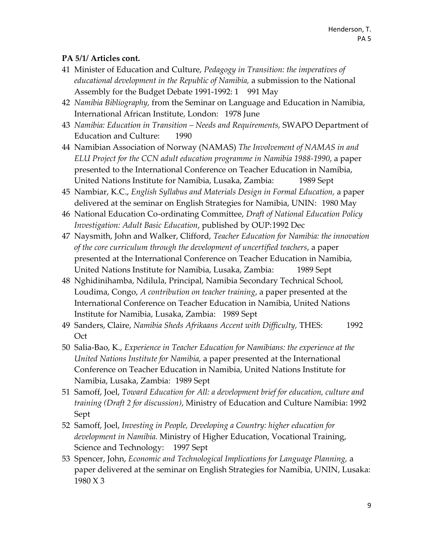- 41 Minister of Education and Culture, *Pedagogy in Transition: the imperatives of educational development in the Republic of Namibia,* a submission to the National Assembly for the Budget Debate 1991-1992: 1 991 May
- 42 *Namibia Bibliography,* from the Seminar on Language and Education in Namibia, International African Institute, London: 1978 June
- 43 *Namibia: Education in Transition – Needs and Requirements,* SWAPO Department of Education and Culture: 1990
- 44 Namibian Association of Norway (NAMAS) *The Involvement of NAMAS in and ELU Project for the CCN adult education programme in Namibia 1988-1990*, a paper presented to the International Conference on Teacher Education in Namibia, United Nations Institute for Namibia, Lusaka, Zambia: 1989 Sept
- 45 Nambiar, K.C., *English Syllabus and Materials Design in Formal Education,* a paper delivered at the seminar on English Strategies for Namibia, UNIN: 1980 May
- 46 National Education Co-ordinating Committee, *Draft of National Education Policy Investigation: Adult Basic Education*, published by OUP:1992 Dec
- 47 Naysmith, John and Walker, Clifford, *Teacher Education for Namibia: the innovation of the core curriculum through the development of uncertified teachers*, a paper presented at the International Conference on Teacher Education in Namibia, United Nations Institute for Namibia, Lusaka, Zambia: 1989 Sept
- 48 Nghidinihamba, Ndilula, Principal, Namibia Secondary Technical School, Loudima, Congo, *A contribution on teacher training*, a paper presented at the International Conference on Teacher Education in Namibia, United Nations Institute for Namibia, Lusaka, Zambia: 1989 Sept
- 49 Sanders, Claire, *Namibia Sheds Afrikaans Accent with Difficulty,* THES: 1992 **Oct**
- 50 Salia-Bao, K., *Experience in Teacher Education for Namibians: the experience at the United Nations Institute for Namibia,* a paper presented at the International Conference on Teacher Education in Namibia, United Nations Institute for Namibia, Lusaka, Zambia: 1989 Sept
- 51 Samoff, Joel, *Toward Education for All: a development brief for education, culture and training (Draft 2 for discussion)*, Ministry of Education and Culture Namibia: 1992 Sept
- 52 Samoff, Joel, *Investing in People, Developing a Country: higher education for development in Namibia.* Ministry of Higher Education, Vocational Training, Science and Technology: 1997 Sept
- 53 Spencer, John, *Economic and Technological Implications for Language Planning,* a paper delivered at the seminar on English Strategies for Namibia, UNIN, Lusaka: 1980 X 3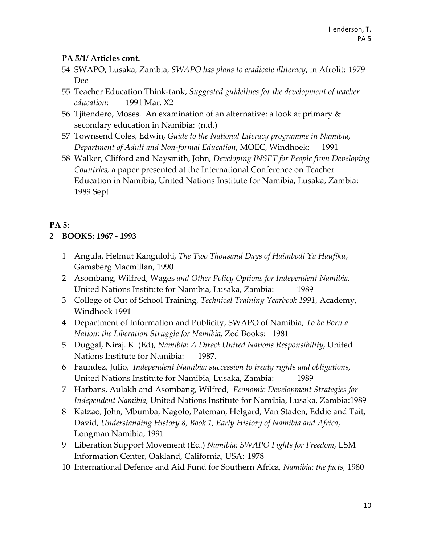- 54 SWAPO, Lusaka, Zambia, *SWAPO has plans to eradicate illiteracy*, in Afrolit: 1979 Dec
- 55 Teacher Education Think-tank, *Suggested guidelines for the development of teacher education*: 1991 Mar. X2
- 56 Tiitendero, Moses. An examination of an alternative: a look at primary  $\&$ secondary education in Namibia: (n.d.)
- 57 Townsend Coles, Edwin, *Guide to the National Literacy programme in Namibia, Department of Adult and Non-formal Education,* MOEC, Windhoek: 1991
- 58 Walker, Clifford and Naysmith, John, *Developing INSET for People from Developing Countries,* a paper presented at the International Conference on Teacher Education in Namibia, United Nations Institute for Namibia, Lusaka, Zambia: 1989 Sept

# **PA 5:**

# **2 BOOKS: 1967 - 1993**

- 1 Angula, Helmut Kangulohi, *The Two Thousand Days of Haimbodi Ya Haufiku*, Gamsberg Macmillan, 1990
- 2 Asombang, Wilfred, Wages *and Other Policy Options for Independent Namibia,* United Nations Institute for Namibia, Lusaka, Zambia: 1989
- 3 College of Out of School Training, *Technical Training Yearbook 1991*, Academy, Windhoek 1991
- 4 Department of Information and Publicity, SWAPO of Namibia, *To be Born a Nation: the Liberation Struggle for Namibia,* Zed Books: 1981
- 5 Duggal, Niraj. K. (Ed), *Namibia: A Direct United Nations Responsibility,* United Nations Institute for Namibia: 1987.
- 6 Faundez, Julio, *Independent Namibia: succession to treaty rights and obligations,* United Nations Institute for Namibia, Lusaka, Zambia: 1989
- 7 Harbans, Aulakh and Asombang, Wilfred, *Economic Development Strategies for Independent Namibia,* United Nations Institute for Namibia, Lusaka, Zambia:1989
- 8 Katzao, John, Mbumba, Nagolo, Pateman, Helgard, Van Staden, Eddie and Tait, David, *Understanding History 8, Book 1, Early History of Namibia and Africa*, Longman Namibia, 1991
- 9 Liberation Support Movement (Ed.) *Namibia: SWAPO Fights for Freedom,* LSM Information Center, Oakland, California, USA: 1978
- 10 International Defence and Aid Fund for Southern Africa, *Namibia: the facts,* 1980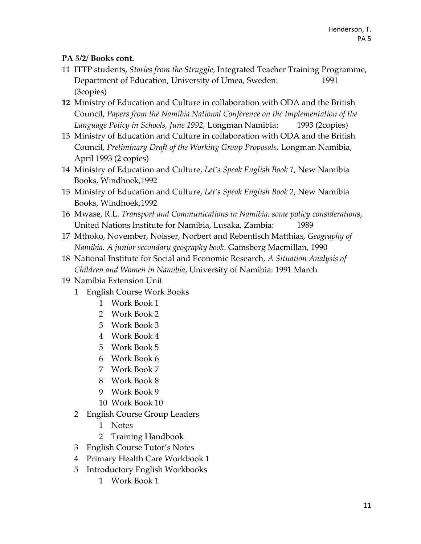## **PA 5/2/ Books cont.**

- ITTP students, *Stories from the Struggle*, Integrated Teacher Training Programme, Department of Education, University of Umea, Sweden: 1991 (3copies)
- Ministry of Education and Culture in collaboration with ODA and the British Council, *Papers from the Namibia National Conference on the Implementation of the Language Policy in Schools, June 1992,* Longman Namibia: 1993 (2copies)
- Ministry of Education and Culture in collaboration with ODA and the British Council, *Preliminary Draft of the Working Group Proposals,* Longman Namibia, April 1993 (2 copies)
- Ministry of Education and Culture, *Let's Speak English Book 1*, New Namibia Books, Windhoek,1992
- Ministry of Education and Culture, *Let's Speak English Book 2,* New Namibia Books, Windhoek,1992
- Mwase, R.L. *Transport and Communications in Namibia: some policy considerations*, United Nations Institute for Namibia, Lusaka, Zambia: 1989
- Mthoko, November, Noisser, Norbert and Rebentisch Matthias, *Geography of Namibia. A junior secondary geography book*. Gamsberg Macmillan, 1990
- National Institute for Social and Economic Research, *A Situation Analysis of Children and Women in Namibia*, University of Namibia: 1991 March
- Namibia Extension Unit
	- English Course Work Books
		- Work Book 1
		- Work Book 2
		- Work Book 3
		- Work Book 4
		- Work Book 5
		- Work Book 6
		- Work Book 7
		- Work Book 8
		- Work Book 9
		- Work Book 10
	- English Course Group Leaders
		- Notes
		- Training Handbook
	- English Course Tutor's Notes
	- Primary Health Care Workbook 1
	- Introductory English Workbooks
		- Work Book 1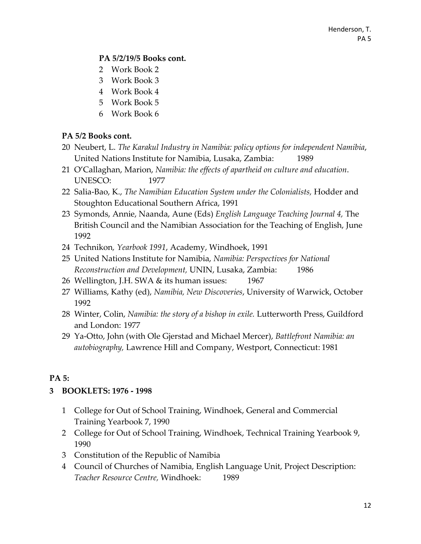#### **PA 5/2/19/5 Books cont.**

- Work Book 2
- Work Book 3
- Work Book 4
- Work Book 5
- Work Book 6

# **PA 5/2 Books cont.**

- Neubert, L. *The Karakul Industry in Namibia: policy options for independent Namibia*, United Nations Institute for Namibia, Lusaka, Zambia: 1989
- O'Callaghan, Marion, *Namibia: the effects of apartheid on culture and education*. UNESCO: 1977
- Salia-Bao, K., *The Namibian Education System under the Colonialists,* Hodder and Stoughton Educational Southern Africa, 1991
- Symonds, Annie, Naanda, Aune (Eds) *English Language Teaching Journal 4,* The British Council and the Namibian Association for the Teaching of English, June
- Technikon*, Yearbook 1991*, Academy, Windhoek, 1991
- United Nations Institute for Namibia, *Namibia: Perspectives for National Reconstruction and Development,* UNIN, Lusaka, Zambia: 1986
- Wellington, J.H. SWA & its human issues: 1967
- Williams, Kathy (ed), *Namibia, New Discoveries*, University of Warwick, October
- Winter, Colin, *Namibia: the story of a bishop in exile.* Lutterworth Press, Guildford and London: 1977
- Ya-Otto, John (with Ole Gjerstad and Michael Mercer), *Battlefront Namibia: an autobiography,* Lawrence Hill and Company, Westport, Connecticut: 1981

# **PA 5:**

# **BOOKLETS: 1976 - 1998**

- College for Out of School Training, Windhoek, General and Commercial Training Yearbook 7, 1990
- College for Out of School Training, Windhoek, Technical Training Yearbook 9,
- Constitution of the Republic of Namibia
- Council of Churches of Namibia, English Language Unit, Project Description: *Teacher Resource Centre,* Windhoek: 1989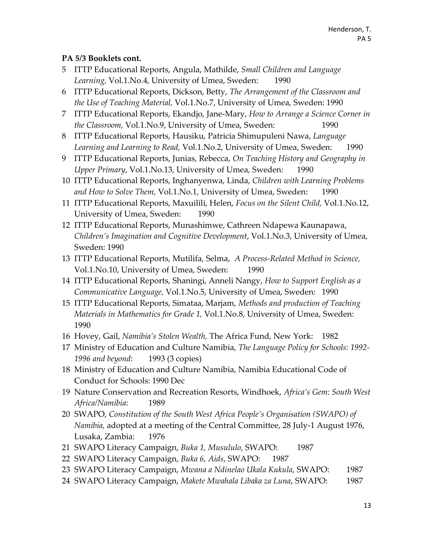#### **PA 5/3 Booklets cont.**

- 5 ITTP Educational Reports, Angula, Mathilde, *Small Children and Language*  Learning, Vol.1.No.4, University of Umea, Sweden: 1990
- 6 ITTP Educational Reports, Dickson, Betty, *The Arrangement of the Classroom and the Use of Teaching Material,* Vol.1.No.7, University of Umea, Sweden: 1990
- 7 ITTP Educational Reports, Ekandjo, Jane-Mary, *How to Arrange a Science Corner in the Classroom,* Vol.1.No.9, University of Umea, Sweden: 1990
- 8 ITTP Educational Reports, Hausiku, Patricia Shimupuleni Nawa, *Language Learning and Learning to Read,* Vol.1.No.2, University of Umea, Sweden: 1990
- 9 ITTP Educational Reports, Junias, Rebecca, *On Teaching History and Geography in Upper Primary*, Vol.1.No.13, University of Umea, Sweden: 1990
- 10 ITTP Educational Reports, Inghanyenwa, Linda, *Children with Learning Problems and How to Solve Them,* Vol.1.No.1, University of Umea, Sweden: 1990
- 11 ITTP Educational Reports, Maxuilili, Helen, *Focus on the Silent Child,* Vol.1.No.12, University of Umea, Sweden: 1990
- 12 ITTP Educational Reports, Munashimwe, Cathreen Ndapewa Kaunapawa, *Children's Imagination and Cognitive Development*, Vol.1.No.3, University of Umea, Sweden: 1990
- 13 ITTP Educational Reports, Mutilifa, Selma, *A Process-Related Method in Science,*  Vol.1.No.10, University of Umea, Sweden: 1990
- 14 ITTP Educational Reports, Shaningi, Anneli Nangy, *How to Support English as a Communicative Language,* Vol.1.No.5, University of Umea, Sweden: 1990
- 15 ITTP Educational Reports, Simataa, Marjam, *Methods and production of Teaching Materials in Mathematics for Grade 1,* Vol.1.No.8, University of Umea, Sweden: 1990
- 16 Hovey, Gail, *Namibia's Stolen Wealth,* The Africa Fund, New York: 1982
- 17 Ministry of Education and Culture Namibia, *The Language Policy for Schools: 1992- 1996 and beyond*: 1993 (3 copies)
- 18 Ministry of Education and Culture Namibia, Namibia Educational Code of Conduct for Schools: 1990 Dec
- 19 Nature Conservation and Recreation Resorts, Windhoek, *Africa's Gem: South West Africa/Namibia*: 1989
- 20 SWAPO, *Constitution of the South West Africa People's Organisation (SWAPO) of Namibia,* adopted at a meeting of the Central Committee, 28 July-1 August 1976, Lusaka, Zambia: 1976
- 21 SWAPO Literacy Campaign, *Buka 1, Musululo*, SWAPO: 1987
- 22 SWAPO Literacy Campaign, *Buka 6, Aids*, SWAPO: 1987
- 23 SWAPO Literacy Campaign, *Mwana a Ndinelao Ukala Kukula*, SWAPO: 1987
- 24 SWAPO Literacy Campaign, *Makete Mwahala Libaka za Luna*, SWAPO: 1987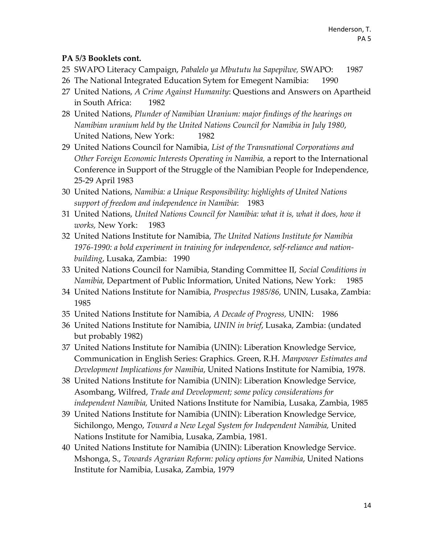#### **PA 5/3 Booklets cont.**

- 25 SWAPO Literacy Campaign, *Pabalelo ya Mbututu ha Sapepilwe,* SWAPO: 1987
- 26 The National Integrated Education Sytem for Emegent Namibia: 1990
- 27 United Nations, *A Crime Against Humanity*: Questions and Answers on Apartheid in South Africa: 1982
- 28 United Nations, *Plunder of Namibian Uranium: major findings of the hearings on Namibian uranium held by the United Nations Council for Namibia in July 1980*, United Nations, New York: 1982
- 29 United Nations Council for Namibia, *List of the Transnational Corporations and Other Foreign Economic Interests Operating in Namibia,* a report to the International Conference in Support of the Struggle of the Namibian People for Independence, 25-29 April 1983
- 30 United Nations, *Namibia: a Unique Responsibility: highlights of United Nations support of freedom and independence in Namibia*: 1983
- 31 United Nations, *United Nations Council for Namibia: what it is, what it does, how it works,* New York: 1983
- 32 United Nations Institute for Namibia, *The United Nations Institute for Namibia 1976-1990: a bold experiment in training for independence, self-reliance and nationbuilding*, Lusaka, Zambia: 1990
- 33 United Nations Council for Namibia, Standing Committee II, *Social Conditions in Namibia,* Department of Public Information, United Nations, New York: 1985
- 34 United Nations Institute for Namibia, *Prospectus 1985/86,* UNIN, Lusaka, Zambia: 1985
- 35 United Nations Institute for Namibia, *A Decade of Progress,* UNIN: 1986
- 36 United Nations Institute for Namibia, *UNIN in brief*, Lusaka, Zambia: (undated but probably 1982)
- 37 United Nations Institute for Namibia (UNIN): Liberation Knowledge Service, Communication in English Series: Graphics. Green, R.H. *Manpower Estimates and Development Implications for Namibia*, United Nations Institute for Namibia, 1978.
- 38 United Nations Institute for Namibia (UNIN): Liberation Knowledge Service, Asombang, Wilfred, *Trade and Development; some policy considerations for independent Namibia,* United Nations Institute for Namibia, Lusaka, Zambia, 1985
- 39 United Nations Institute for Namibia (UNIN): Liberation Knowledge Service, Sichilongo, Mengo, *Toward a New Legal System for Independent Namibia,* United Nations Institute for Namibia, Lusaka, Zambia, 1981.
- 40 United Nations Institute for Namibia (UNIN): Liberation Knowledge Service. Mshonga, S., *Towards Agrarian Reform: policy options for Namibia*, United Nations Institute for Namibia, Lusaka, Zambia, 1979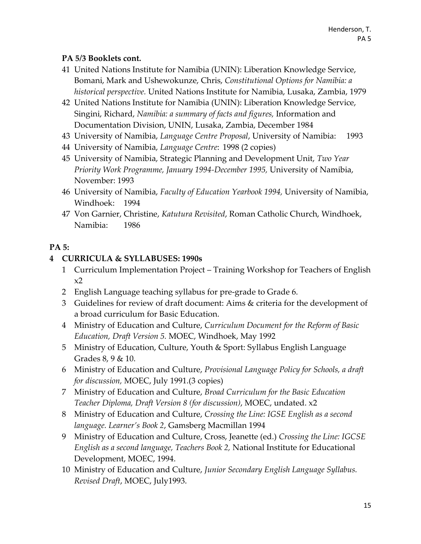#### **PA 5/3 Booklets cont.**

- 41 United Nations Institute for Namibia (UNIN): Liberation Knowledge Service, Bomani, Mark and Ushewokunze, Chris, *Constitutional Options for Namibia: a historical perspective.* United Nations Institute for Namibia, Lusaka, Zambia, 1979
- 42 United Nations Institute for Namibia (UNIN): Liberation Knowledge Service, Singini, Richard, *Namibia: a summary of facts and figures,* Information and Documentation Division, UNIN, Lusaka, Zambia, December 1984
- 43 University of Namibia, *Language Centre Proposal*, University of Namibia: 1993
- 44 University of Namibia, *Language Centre*: 1998 (2 copies)
- 45 University of Namibia, Strategic Planning and Development Unit, *Two Year Priority Work Programme, January 1994-December 1995,* University of Namibia, November: 1993
- 46 University of Namibia, *Faculty of Education Yearbook 1994,* University of Namibia, Windhoek: 1994
- 47 Von Garnier, Christine, *Katutura Revisited*, Roman Catholic Church, Windhoek, Namibia: 1986

# **PA 5:**

#### **4 CURRICULA & SYLLABUSES: 1990s**

- 1 Curriculum Implementation Project Training Workshop for Teachers of English  $x2$
- 2 English Language teaching syllabus for pre-grade to Grade 6.
- 3 Guidelines for review of draft document: Aims & criteria for the development of a broad curriculum for Basic Education.
- 4 Ministry of Education and Culture, *Curriculum Document for the Reform of Basic Education, Draft Version 5.* MOEC, Windhoek, May 1992
- 5 Ministry of Education, Culture, Youth & Sport: Syllabus English Language Grades 8, 9 & 10.
- 6 Ministry of Education and Culture, *Provisional Language Policy for Schools, a draft for discussion,* MOEC, July 1991.(3 copies)
- 7 Ministry of Education and Culture, *Broad Curriculum for the Basic Education Teacher Diploma, Draft Version 8 (for discussion)*, MOEC, undated. x2
- 8 Ministry of Education and Culture, *Crossing the Line: IGSE English as a second language. Learner's Book 2*, Gamsberg Macmillan 1994
- 9 Ministry of Education and Culture, Cross, Jeanette (ed.) *Crossing the Line: IGCSE English as a second language, Teachers Book 2,* National Institute for Educational Development, MOEC, 1994.
- 10 Ministry of Education and Culture, *Junior Secondary English Language Syllabus. Revised Draft*, MOEC, July1993.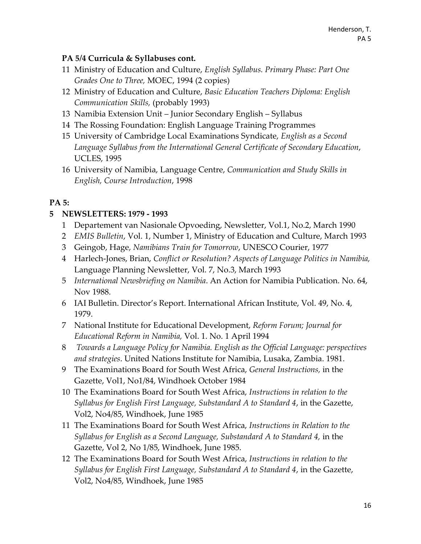### **PA 5/4 Curricula & Syllabuses cont.**

- 11 Ministry of Education and Culture, *English Syllabus. Primary Phase: Part One Grades One to Three,* MOEC, 1994 (2 copies)
- 12 Ministry of Education and Culture, *Basic Education Teachers Diploma: English Communication Skills,* (probably 1993)
- 13 Namibia Extension Unit Junior Secondary English Syllabus
- 14 The Rossing Foundation: English Language Training Programmes
- 15 University of Cambridge Local Examinations Syndicate, *English as a Second Language Syllabus from the International General Certificate of Secondary Education*, UCLES, 1995
- 16 University of Namibia, Language Centre, *Communication and Study Skills in English, Course Introduction*, 1998

# **PA 5:**

# **5 NEWSLETTERS: 1979 - 1993**

- 1 Departement van Nasionale Opvoeding, Newsletter, Vol.1, No.2, March 1990
- 2 *EMIS Bulletin*, Vol. 1, Number 1, Ministry of Education and Culture, March 1993
- 3 Geingob, Hage, *Namibians Train for Tomorrow*, UNESCO Courier, 1977
- 4 Harlech-Jones, Brian, *Conflict or Resolution? Aspects of Language Politics in Namibia,* Language Planning Newsletter, Vol. 7, No.3, March 1993
- 5 *International Newsbriefing on Namibia*. An Action for Namibia Publication. No. 64, Nov 1988.
- 6 IAI Bulletin. Director's Report. International African Institute, Vol. 49, No. 4, 1979.
- 7 National Institute for Educational Development, *Reform Forum; Journal for Educational Reform in Namibia,* Vol. 1. No. 1 April 1994
- 8 *Towards a Language Policy for Namibia. English as the Official Language: perspectives and strategies*. United Nations Institute for Namibia, Lusaka, Zambia. 1981.
- 9 The Examinations Board for South West Africa, *General Instructions,* in the Gazette, Vol1, No1/84, Windhoek October 1984
- 10 The Examinations Board for South West Africa, *Instructions in relation to the Syllabus for English First Language, Substandard A to Standard 4*, in the Gazette, Vol2, No4/85, Windhoek, June 1985
- 11 The Examinations Board for South West Africa, *Instructions in Relation to the Syllabus for English as a Second Language, Substandard A to Standard 4,* in the Gazette, Vol 2, No 1/85, Windhoek, June 1985.
- 12 The Examinations Board for South West Africa, *Instructions in relation to the Syllabus for English First Language, Substandard A to Standard 4*, in the Gazette, Vol2, No4/85, Windhoek, June 1985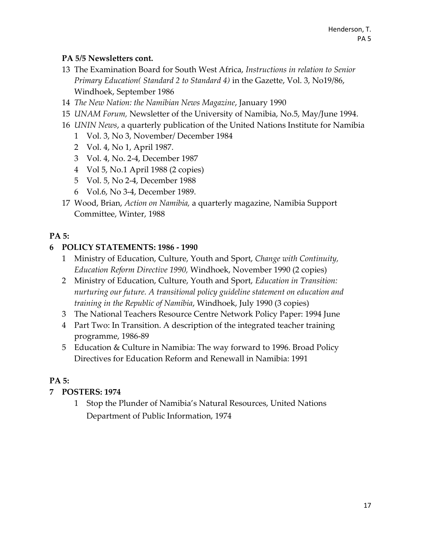### **PA 5/5 Newsletters cont.**

- 13 The Examination Board for South West Africa, *Instructions in relation to Senior Primary Education( Standard 2 to Standard 4)* in the Gazette, Vol. 3, No19/86, Windhoek, September 1986
- 14 *The New Nation: the Namibian News Magazine*, January 1990
- 15 *UNAM Forum,* Newsletter of the University of Namibia, No.5, May/June 1994.
- 16 *UNIN News*, a quarterly publication of the United Nations Institute for Namibia
	- 1 Vol. 3, No 3, November/ December 1984
	- 2 Vol. 4, No 1, April 1987.
	- 3 Vol. 4, No. 2-4, December 1987
	- 4 Vol 5, No.1 April 1988 (2 copies)
	- 5 Vol. 5, No 2-4, December 1988
	- 6 Vol.6, No 3-4, December 1989.
- 17 Wood, Brian, *Action on Namibia,* a quarterly magazine, Namibia Support Committee, Winter, 1988

# **PA 5:**

# **6 POLICY STATEMENTS: 1986 - 1990**

- 1 Ministry of Education, Culture, Youth and Sport, *Change with Continuity, Education Reform Directive 1990,* Windhoek, November 1990 (2 copies)
- 2 Ministry of Education, Culture, Youth and Sport, *Education in Transition: nurturing our future. A transitional policy guideline statement on education and training in the Republic of Namibia*, Windhoek, July 1990 (3 copies)
- 3 The National Teachers Resource Centre Network Policy Paper: 1994 June
- 4 Part Two: In Transition. A description of the integrated teacher training programme, 1986-89
- 5 Education & Culture in Namibia: The way forward to 1996. Broad Policy Directives for Education Reform and Renewall in Namibia: 1991

# **PA 5:**

# **7 POSTERS: 1974**

1 Stop the Plunder of Namibia's Natural Resources, United Nations Department of Public Information, 1974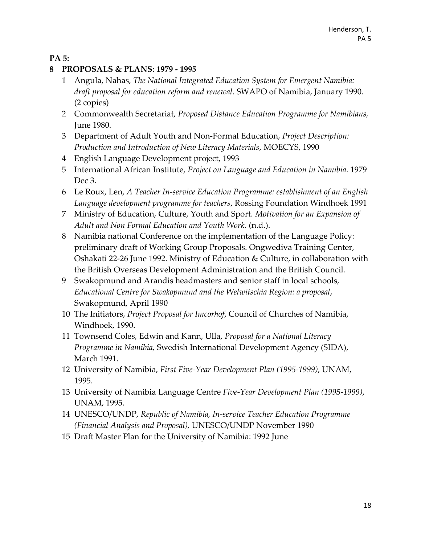### **PA 5:**

#### **8 PROPOSALS & PLANS: 1979 - 1995**

- 1 Angula, Nahas, *The National Integrated Education System for Emergent Namibia: draft proposal for education reform and renewal*. SWAPO of Namibia, January 1990. (2 copies)
- 2 Commonwealth Secretariat, *Proposed Distance Education Programme for Namibians,*  June 1980.
- 3 Department of Adult Youth and Non-Formal Education, *Project Description: Production and Introduction of New Literacy Materials*, MOECYS, 1990
- 4 English Language Development project, 1993
- 5 International African Institute, *Project on Language and Education in Namibia*. 1979 Dec 3.
- 6 Le Roux, Len, *A Teacher In-service Education Programme: establishment of an English Language development programme for teachers*, Rossing Foundation Windhoek 1991
- 7 Ministry of Education, Culture, Youth and Sport. *Motivation for an Expansion of Adult and Non Formal Education and Youth Work*. (n.d.).
- 8 Namibia national Conference on the implementation of the Language Policy: preliminary draft of Working Group Proposals. Ongwediva Training Center, Oshakati 22-26 June 1992. Ministry of Education & Culture, in collaboration with the British Overseas Development Administration and the British Council.
- 9 Swakopmund and Arandis headmasters and senior staff in local schools, *Educational Centre for Swakopmund and the Welwitschia Region: a proposal*, Swakopmund, April 1990
- 10 The Initiators, *Project Proposal for Imcorhof*, Council of Churches of Namibia, Windhoek, 1990.
- 11 Townsend Coles, Edwin and Kann, Ulla, *Proposal for a National Literacy Programme in Namibia,* Swedish International Development Agency (SIDA), March 1991.
- 12 University of Namibia, *First Five-Year Development Plan (1995-1999)*, UNAM, 1995.
- 13 University of Namibia Language Centre *Five-Year Development Plan (1995-1999)*, UNAM, 1995.
- 14 UNESCO/UNDP, *Republic of Namibia, In-service Teacher Education Programme (Financial Analysis and Proposal),* UNESCO/UNDP November 1990
- 15 Draft Master Plan for the University of Namibia: 1992 June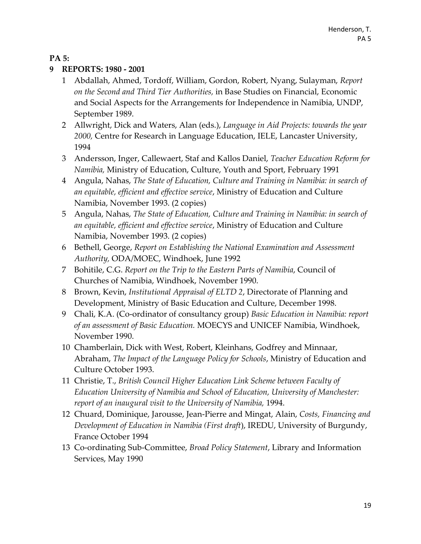#### **PA 5:**

#### **9 REPORTS: 1980 - 2001**

- 1 Abdallah, Ahmed, Tordoff, William, Gordon, Robert, Nyang, Sulayman, *Report on the Second and Third Tier Authorities,* in Base Studies on Financial, Economic and Social Aspects for the Arrangements for Independence in Namibia, UNDP, September 1989.
- 2 Allwright, Dick and Waters, Alan (eds.), *Language in Aid Projects: towards the year 2000,* Centre for Research in Language Education, IELE, Lancaster University, 1994
- 3 Andersson, Inger, Callewaert, Staf and Kallos Daniel, *Teacher Education Reform for Namibia,* Ministry of Education, Culture, Youth and Sport, February 1991
- 4 Angula, Nahas, *The State of Education, Culture and Training in Namibia: in search of an equitable, efficient and effective service*, Ministry of Education and Culture Namibia, November 1993. (2 copies)
- 5 Angula, Nahas, *The State of Education, Culture and Training in Namibia: in search of an equitable, efficient and effective service*, Ministry of Education and Culture Namibia, November 1993. (2 copies)
- 6 Bethell, George, *Report on Establishing the National Examination and Assessment Authority,* ODA/MOEC, Windhoek, June 1992
- 7 Bohitile, C.G. *Report on the Trip to the Eastern Parts of Namibia*, Council of Churches of Namibia, Windhoek, November 1990.
- 8 Brown, Kevin, *Institutional Appraisal of ELTD 2*, Directorate of Planning and Development, Ministry of Basic Education and Culture, December 1998.
- 9 Chali, K.A. (Co-ordinator of consultancy group) *Basic Education in Namibia: report of an assessment of Basic Education.* MOECYS and UNICEF Namibia, Windhoek, November 1990.
- 10 Chamberlain, Dick with West, Robert, Kleinhans, Godfrey and Minnaar, Abraham, *The Impact of the Language Policy for Schools*, Ministry of Education and Culture October 1993.
- 11 Christie, T., *British Council Higher Education Link Scheme between Faculty of Education University of Namibia and School of Education, University of Manchester: report of an inaugural visit to the University of Namibia,* 1994.
- 12 Chuard, Dominique, Jarousse, Jean-Pierre and Mingat, Alain, *Costs, Financing and Development of Education in Namibia (First draft*), IREDU, University of Burgundy, France October 1994
- 13 Co-ordinating Sub-Committee, *Broad Policy Statement*, Library and Information Services, May 1990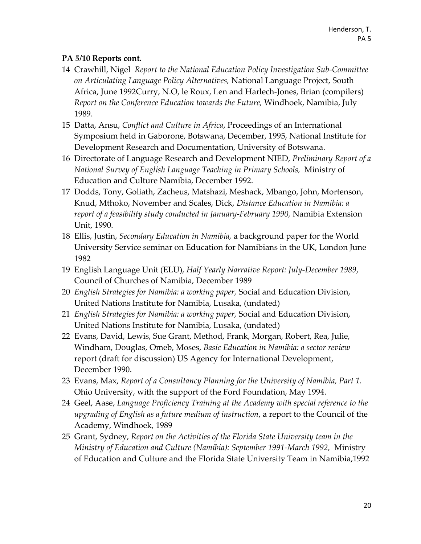- 14 Crawhill, Nigel *Report to the National Education Policy Investigation Sub-Committee on Articulating Language Policy Alternatives,* National Language Project, South Africa, June 1992Curry, N.O, le Roux, Len and Harlech-Jones, Brian (compilers) *Report on the Conference Education towards the Future,* Windhoek, Namibia, July 1989.
- 15 Datta, Ansu, *Conflict and Culture in Africa*, Proceedings of an International Symposium held in Gaborone, Botswana, December, 1995, National Institute for Development Research and Documentation, University of Botswana.
- 16 Directorate of Language Research and Development NIED, *Preliminary Report of a National Survey of English Language Teaching in Primary Schools,* Ministry of Education and Culture Namibia, December 1992.
- 17 Dodds, Tony, Goliath, Zacheus, Matshazi, Meshack, Mbango, John, Mortenson, Knud, Mthoko, November and Scales, Dick, *Distance Education in Namibia: a report of a feasibility study conducted in January-February 1990,* Namibia Extension Unit, 1990.
- 18 Ellis, Justin, *Secondary Education in Namibia,* a background paper for the World University Service seminar on Education for Namibians in the UK, London June 1982
- 19 English Language Unit (ELU), *Half Yearly Narrative Report: July-December 1989*, Council of Churches of Namibia, December 1989
- 20 *English Strategies for Namibia: a working paper,* Social and Education Division, United Nations Institute for Namibia, Lusaka, (undated)
- 21 *English Strategies for Namibia: a working paper,* Social and Education Division, United Nations Institute for Namibia, Lusaka, (undated)
- 22 Evans, David, Lewis, Sue Grant, Method, Frank, Morgan, Robert, Rea, Julie, Windham, Douglas, Omeb, Moses, *Basic Education in Namibia: a sector review* report (draft for discussion) US Agency for International Development, December 1990.
- 23 Evans, Max, *Report of a Consultancy Planning for the University of Namibia, Part 1.* Ohio University, with the support of the Ford Foundation, May 1994.
- 24 Geel, Aase, *Language Proficiency Training at the Academy with special reference to the upgrading of English as a future medium of instruction*, a report to the Council of the Academy, Windhoek, 1989
- 25 Grant, Sydney, *Report on the Activities of the Florida State University team in the Ministry of Education and Culture (Namibia): September 1991-March 1992,* Ministry of Education and Culture and the Florida State University Team in Namibia,1992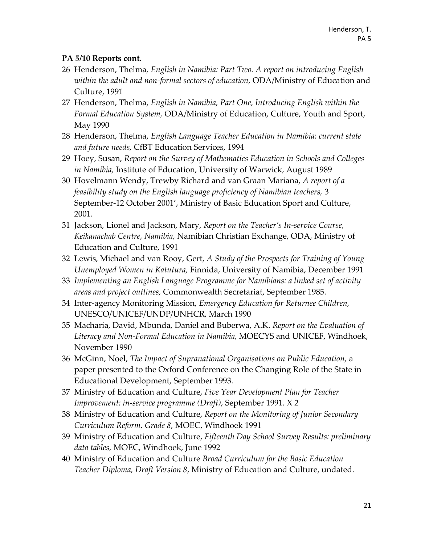- 26 Henderson, Thelma*, English in Namibia: Part Two. A report on introducing English within the adult and non-formal sectors of education,* ODA/Ministry of Education and Culture, 1991
- 27 Henderson, Thelma, *English in Namibia, Part One, Introducing English within the Formal Education System,* ODA/Ministry of Education, Culture, Youth and Sport, May 1990
- 28 Henderson, Thelma, *English Language Teacher Education in Namibia: current state and future needs,* CfBT Education Services, 1994
- 29 Hoey, Susan, *Report on the Survey of Mathematics Education in Schools and Colleges in Namibia,* Institute of Education, University of Warwick, August 1989
- 30 Hovelmann Wendy, Trewby Richard and van Graan Mariana, *A report of a feasibility study on the English language proficiency of Namibian teachers,* 3 September-12 October 2001', Ministry of Basic Education Sport and Culture, 2001.
- 31 Jackson, Lionel and Jackson, Mary, *Report on the Teacher's In-service Course, Keikanachab Centre, Namibia,* Namibian Christian Exchange, ODA, Ministry of Education and Culture, 1991
- 32 Lewis, Michael and van Rooy, Gert, *A Study of the Prospects for Training of Young Unemployed Women in Katutura,* Finnida, University of Namibia, December 1991
- 33 *Implementing an English Language Programme for Namibians: a linked set of activity areas and project outlines,* Commonwealth Secretariat, September 1985.
- 34 Inter-agency Monitoring Mission, *Emergency Education for Returnee Children,* UNESCO/UNICEF/UNDP/UNHCR, March 1990
- 35 Macharia, David, Mbunda, Daniel and Buberwa, A.K. *Report on the Evaluation of Literacy and Non-Formal Education in Namibia,* MOECYS and UNICEF, Windhoek, November 1990
- 36 McGinn, Noel, *The Impact of Supranational Organisations on Public Education,* a paper presented to the Oxford Conference on the Changing Role of the State in Educational Development, September 1993.
- 37 Ministry of Education and Culture, *Five Year Development Plan for Teacher Improvement: in-service programme (Draft)*, September 1991. X 2
- 38 Ministry of Education and Culture, *Report on the Monitoring of Junior Secondary Curriculum Reform, Grade 8,* MOEC, Windhoek 1991
- 39 Ministry of Education and Culture, *Fifteenth Day School Survey Results: preliminary data tables,* MOEC, Windhoek, June 1992
- 40 Ministry of Education and Culture *Broad Curriculum for the Basic Education Teacher Diploma, Draft Version 8*, Ministry of Education and Culture, undated.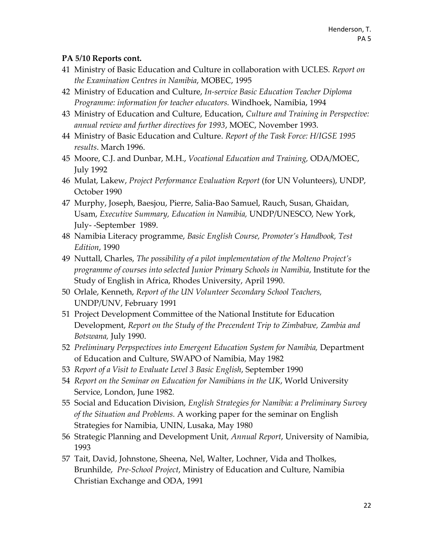- 41 Ministry of Basic Education and Culture in collaboration with UCLES. *Report on the Examination Centres in Namibia*, MOBEC, 1995
- 42 Ministry of Education and Culture, *In-service Basic Education Teacher Diploma Programme: information for teacher educators.* Windhoek, Namibia, 1994
- 43 Ministry of Education and Culture, Education, *Culture and Training in Perspective: annual review and further directives for 1993*, MOEC, November 1993.
- 44 Ministry of Basic Education and Culture. *Report of the Task Force: H/IGSE 1995 results*. March 1996.
- 45 Moore, C.J. and Dunbar, M.H., *Vocational Education and Training,* ODA/MOEC, July 1992
- 46 Mulat, Lakew, *Project Performance Evaluation Report* (for UN Volunteers), UNDP, October 1990
- 47 Murphy, Joseph, Baesjou, Pierre, Salia-Bao Samuel, Rauch, Susan, Ghaidan, Usam, *Executive Summary, Education in Namibia,* UNDP/UNESCO, New York, July- -September 1989.
- 48 Namibia Literacy programme, *Basic English Course, Promoter's Handbook, Test Edition*, 1990
- 49 Nuttall, Charles, *The possibility of a pilot implementation of the Molteno Project's programme of courses into selected Junior Primary Schools in Namibia*, Institute for the Study of English in Africa, Rhodes University, April 1990.
- 50 Orlale, Kenneth, *Report of the UN Volunteer Secondary School Teachers,* UNDP/UNV, February 1991
- 51 Project Development Committee of the National Institute for Education Development, *Report on the Study of the Precendent Trip to Zimbabwe, Zambia and Botswana,* July 1990.
- 52 *Preliminary Perpspectives into Emergent Education System for Namibia,* Department of Education and Culture, SWAPO of Namibia, May 1982
- 53 *Report of a Visit to Evaluate Level 3 Basic English*, September 1990
- 54 *Report on the Seminar on Education for Namibians in the UK*, World University Service, London, June 1982.
- 55 Social and Education Division, *English Strategies for Namibia: a Preliminary Survey of the Situation and Problems.* A working paper for the seminar on English Strategies for Namibia, UNIN, Lusaka, May 1980
- 56 Strategic Planning and Development Unit, *Annual Report*, University of Namibia, 1993
- 57 Tait, David, Johnstone, Sheena, Nel, Walter, Lochner, Vida and Tholkes, Brunhilde, *Pre-School Project*, Ministry of Education and Culture, Namibia Christian Exchange and ODA, 1991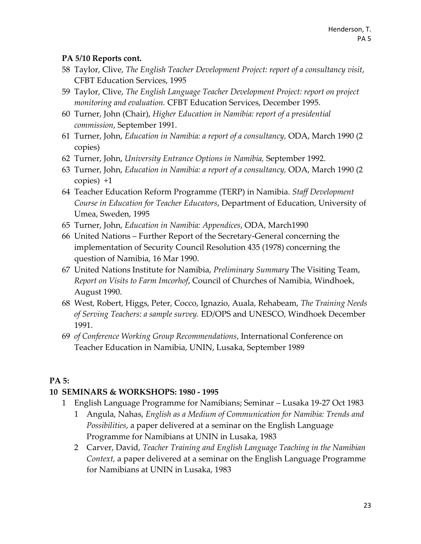- 58 Taylor, Clive, *The English Teacher Development Project: report of a consultancy visit*, CFBT Education Services, 1995
- 59 Taylor, Clive, *The English Language Teacher Development Project: report on project monitoring and evaluation.* CFBT Education Services, December 1995.
- 60 Turner, John (Chair), *Higher Education in Namibia: report of a presidential commission*, September 1991.
- 61 Turner, John, *Education in Namibia: a report of a consultancy,* ODA, March 1990 (2 copies)
- 62 Turner, John, *University Entrance Options in Namibia,* September 1992.
- 63 Turner, John, *Education in Namibia: a report of a consultancy,* ODA, March 1990 (2 copies) +1
- 64 Teacher Education Reform Programme (TERP) in Namibia. *Staff Development Course in Education for Teacher Educators*, Department of Education, University of Umea, Sweden, 1995
- 65 Turner, John, *Education in Namibia: Appendices*, ODA, March1990
- 66 United Nations Further Report of the Secretary-General concerning the implementation of Security Council Resolution 435 (1978) concerning the question of Namibia, 16 Mar 1990.
- 67 United Nations Institute for Namibia, *Preliminary Summary* The Visiting Team, *Report on Visits to Farm Imcorhof*, Council of Churches of Namibia, Windhoek, August 1990.
- 68 West, Robert, Higgs, Peter, Cocco, Ignazio, Auala, Rehabeam, *The Training Needs of Serving Teachers: a sample survey.* ED/OPS and UNESCO, Windhoek December 1991.
- 69 *of Conference Working Group Recommendations*, International Conference on Teacher Education in Namibia, UNIN, Lusaka, September 1989

# **PA 5:**

# **10 SEMINARS & WORKSHOPS: 1980 - 1995**

- 1 English Language Programme for Namibians; Seminar Lusaka 19-27 Oct 1983
	- 1 Angula, Nahas, *English as a Medium of Communication for Namibia: Trends and Possibilities*, a paper delivered at a seminar on the English Language Programme for Namibians at UNIN in Lusaka, 1983
	- 2 Carver, David, *Teacher Training and English Language Teaching in the Namibian Context,* a paper delivered at a seminar on the English Language Programme for Namibians at UNIN in Lusaka, 1983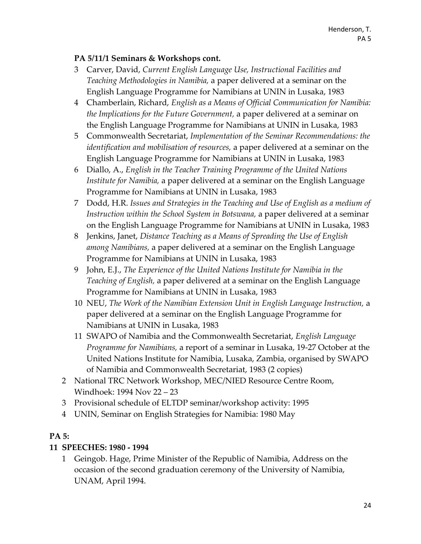#### **PA 5/11/1 Seminars & Workshops cont.**

- 3 Carver, David, *Current English Language Use, Instructional Facilities and Teaching Methodologies in Namibia,* a paper delivered at a seminar on the English Language Programme for Namibians at UNIN in Lusaka, 1983
- 4 Chamberlain, Richard, *English as a Means of Official Communication for Namibia: the Implications for the Future Government,* a paper delivered at a seminar on the English Language Programme for Namibians at UNIN in Lusaka, 1983
- 5 Commonwealth Secretariat, *Implementation of the Seminar Recommendations: the identification and mobilisation of resources,* a paper delivered at a seminar on the English Language Programme for Namibians at UNIN in Lusaka, 1983
- 6 Diallo, A., *English in the Teacher Training Programme of the United Nations Institute for Namibia,* a paper delivered at a seminar on the English Language Programme for Namibians at UNIN in Lusaka, 1983
- 7 Dodd, H.R. *Issues and Strategies in the Teaching and Use of English as a medium of Instruction within the School System in Botswana,* a paper delivered at a seminar on the English Language Programme for Namibians at UNIN in Lusaka, 1983
- 8 Jenkins, Janet, *Distance Teaching as a Means of Spreading the Use of English among Namibians,* a paper delivered at a seminar on the English Language Programme for Namibians at UNIN in Lusaka, 1983
- 9 John, E.J., *The Experience of the United Nations Institute for Namibia in the Teaching of English,* a paper delivered at a seminar on the English Language Programme for Namibians at UNIN in Lusaka, 1983
- 10 NEU, *The Work of the Namibian Extension Unit in English Language Instruction,* a paper delivered at a seminar on the English Language Programme for Namibians at UNIN in Lusaka, 1983
- 11 SWAPO of Namibia and the Commonwealth Secretariat, *English Language Programme for Namibians,* a report of a seminar in Lusaka, 19-27 October at the United Nations Institute for Namibia, Lusaka, Zambia, organised by SWAPO of Namibia and Commonwealth Secretariat, 1983 (2 copies)
- 2 National TRC Network Workshop, MEC/NIED Resource Centre Room, Windhoek: 1994 Nov 22 – 23
- 3 Provisional schedule of ELTDP seminar/workshop activity: 1995
- 4 UNIN, Seminar on English Strategies for Namibia: 1980 May

#### **PA 5:**

#### **11 SPEECHES: 1980 - 1994**

1 Geingob. Hage, Prime Minister of the Republic of Namibia, Address on the occasion of the second graduation ceremony of the University of Namibia, UNAM, April 1994.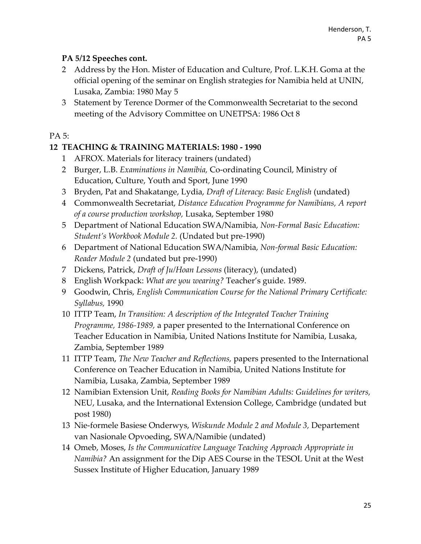# **PA 5/12 Speeches cont.**

- 2 Address by the Hon. Mister of Education and Culture, Prof. L.K.H. Goma at the official opening of the seminar on English strategies for Namibia held at UNIN, Lusaka, Zambia: 1980 May 5
- 3 Statement by Terence Dormer of the Commonwealth Secretariat to the second meeting of the Advisory Committee on UNETPSA: 1986 Oct 8

### PA 5:

# **12 TEACHING & TRAINING MATERIALS: 1980 - 1990**

- 1 AFROX. Materials for literacy trainers (undated)
- 2 Burger, L.B. *Examinations in Namibia,* Co-ordinating Council, Ministry of Education, Culture, Youth and Sport, June 1990
- 3 Bryden, Pat and Shakatange, Lydia, *Draft of Literacy: Basic English* (undated)
- 4 Commonwealth Secretariat, *Distance Education Programme for Namibians, A report of a course production workshop,* Lusaka, September 1980
- 5 Department of National Education SWA/Namibia, *Non-Formal Basic Education: Student's Workbook Module 2.* (Undated but pre-1990)
- 6 Department of National Education SWA/Namibia, *Non-formal Basic Education: Reader Module 2* (undated but pre-1990)
- 7 Dickens, Patrick, *Draft of Ju/Hoan Lessons* (literacy), (undated)
- 8 English Workpack: *What are you wearing?* Teacher's guide. 1989.
- 9 Goodwin, Chris, *English Communication Course for the National Primary Certificate: Syllabus,* 1990
- 10 ITTP Team, *In Transition: A description of the Integrated Teacher Training Programme, 1986-1989,* a paper presented to the International Conference on Teacher Education in Namibia, United Nations Institute for Namibia, Lusaka, Zambia, September 1989
- 11 ITTP Team, *The New Teacher and Reflections,* papers presented to the International Conference on Teacher Education in Namibia, United Nations Institute for Namibia, Lusaka, Zambia, September 1989
- 12 Namibian Extension Unit, *Reading Books for Namibian Adults: Guidelines for writers,* NEU, Lusaka, and the International Extension College, Cambridge (undated but post 1980)
- 13 Nie-formele Basiese Onderwys, *Wiskunde Module 2 and Module 3,* Departement van Nasionale Opvoeding, SWA/Namibie (undated)
- 14 Omeb, Moses, *Is the Communicative Language Teaching Approach Appropriate in Namibia?* An assignment for the Dip AES Course in the TESOL Unit at the West Sussex Institute of Higher Education, January 1989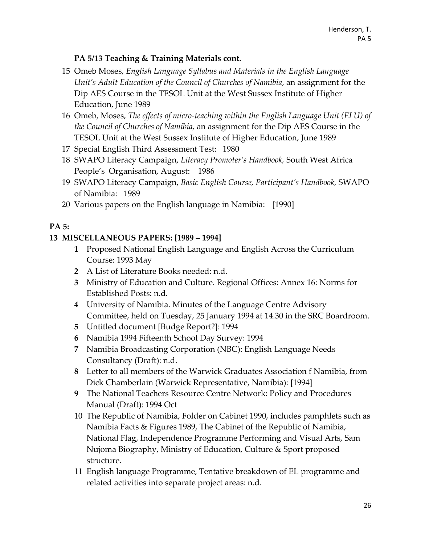## **PA 5/13 Teaching & Training Materials cont.**

- 15 Omeb Moses, *English Language Syllabus and Materials in the English Language Unit's Adult Education of the Council of Churches of Namibia*, an assignment for the Dip AES Course in the TESOL Unit at the West Sussex Institute of Higher Education, June 1989
- 16 Omeb, Moses, *The effects of micro-teaching within the English Language Unit (ELU) of the Council of Churches of Namibia,* an assignment for the Dip AES Course in the TESOL Unit at the West Sussex Institute of Higher Education, June 1989
- 17 Special English Third Assessment Test: 1980
- 18 SWAPO Literacy Campaign, *Literacy Promoter's Handbook,* South West Africa People's Organisation, August: 1986
- 19 SWAPO Literacy Campaign, *Basic English Course, Participant's Handbook,* SWAPO of Namibia: 1989
- 20 Various papers on the English language in Namibia: [1990]

#### **PA 5:**

#### **13 MISCELLANEOUS PAPERS: [1989 – 1994]**

- **1** Proposed National English Language and English Across the Curriculum Course: 1993 May
- **2** A List of Literature Books needed: n.d.
- **3** Ministry of Education and Culture. Regional Offices: Annex 16: Norms for Established Posts: n.d.
- **4** University of Namibia. Minutes of the Language Centre Advisory Committee, held on Tuesday, 25 January 1994 at 14.30 in the SRC Boardroom.
- **5** Untitled document [Budge Report?]: 1994
- **6** Namibia 1994 Fifteenth School Day Survey: 1994
- **7** Namibia Broadcasting Corporation (NBC): English Language Needs Consultancy (Draft): n.d.
- **8** Letter to all members of the Warwick Graduates Association f Namibia, from Dick Chamberlain (Warwick Representative, Namibia): [1994]
- **9** The National Teachers Resource Centre Network: Policy and Procedures Manual (Draft): 1994 Oct
- 10 The Republic of Namibia, Folder on Cabinet 1990, includes pamphlets such as Namibia Facts & Figures 1989, The Cabinet of the Republic of Namibia, National Flag, Independence Programme Performing and Visual Arts, Sam Nujoma Biography, Ministry of Education, Culture & Sport proposed structure.
- 11 English language Programme, Tentative breakdown of EL programme and related activities into separate project areas: n.d.